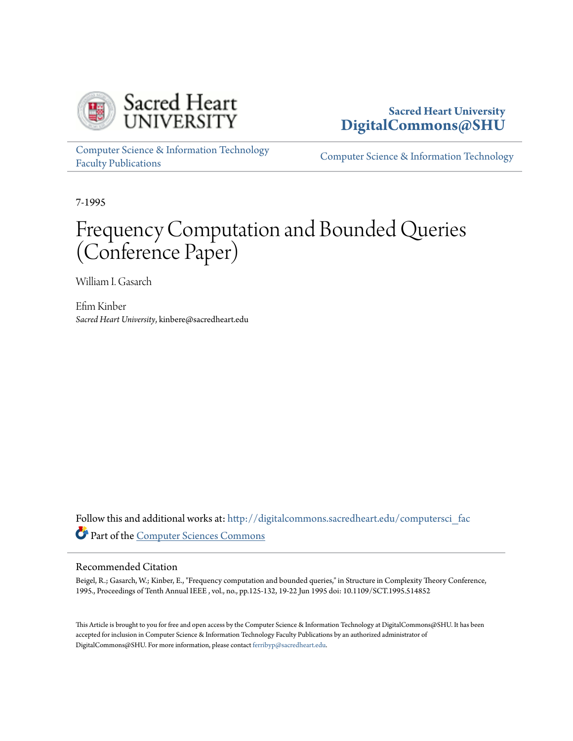

## **Sacred Heart University [DigitalCommons@SHU](http://digitalcommons.sacredheart.edu?utm_source=digitalcommons.sacredheart.edu%2Fcomputersci_fac%2F80&utm_medium=PDF&utm_campaign=PDFCoverPages)**

[Computer Science & Information Technology](http://digitalcommons.sacredheart.edu/computersci_fac?utm_source=digitalcommons.sacredheart.edu%2Fcomputersci_fac%2F80&utm_medium=PDF&utm_campaign=PDFCoverPages) [Faculty Publications](http://digitalcommons.sacredheart.edu/computersci_fac?utm_source=digitalcommons.sacredheart.edu%2Fcomputersci_fac%2F80&utm_medium=PDF&utm_campaign=PDFCoverPages)

[Computer Science & Information Technology](http://digitalcommons.sacredheart.edu/computersci?utm_source=digitalcommons.sacredheart.edu%2Fcomputersci_fac%2F80&utm_medium=PDF&utm_campaign=PDFCoverPages)

7-1995

# Frequency Computation and Bounded Queries (Conference Paper)

William I. Gasarch

Efim Kinber *Sacred Heart University*, kinbere@sacredheart.edu

Follow this and additional works at: [http://digitalcommons.sacredheart.edu/computersci\\_fac](http://digitalcommons.sacredheart.edu/computersci_fac?utm_source=digitalcommons.sacredheart.edu%2Fcomputersci_fac%2F80&utm_medium=PDF&utm_campaign=PDFCoverPages) Part of the [Computer Sciences Commons](http://network.bepress.com/hgg/discipline/142?utm_source=digitalcommons.sacredheart.edu%2Fcomputersci_fac%2F80&utm_medium=PDF&utm_campaign=PDFCoverPages)

#### Recommended Citation

Beigel, R.; Gasarch, W.; Kinber, E., "Frequency computation and bounded queries," in Structure in Complexity Theory Conference, 1995., Proceedings of Tenth Annual IEEE , vol., no., pp.125-132, 19-22 Jun 1995 doi: 10.1109/SCT.1995.514852

This Article is brought to you for free and open access by the Computer Science & Information Technology at DigitalCommons@SHU. It has been accepted for inclusion in Computer Science & Information Technology Faculty Publications by an authorized administrator of DigitalCommons@SHU. For more information, please contact [ferribyp@sacredheart.edu](mailto:ferribyp@sacredheart.edu).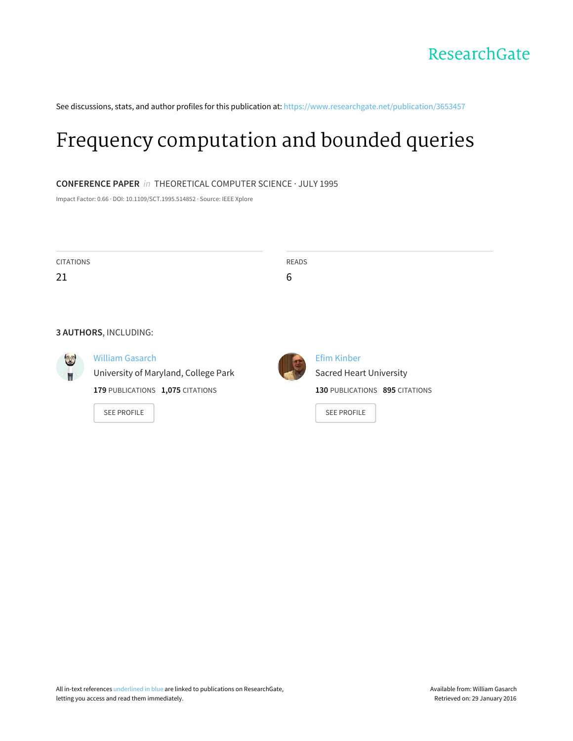See discussions, stats, and author profiles for this publication at: [https://www.researchgate.net/publication/3653457](https://www.researchgate.net/publication/3653457_Frequency_computation_and_bounded_queries?enrichId=rgreq-eb2942d5-6448-4824-a490-1be4808cf536&enrichSource=Y292ZXJQYWdlOzM2NTM0NTc7QVM6MzIyNTgzNTYyNTIyNjI0QDE0NTM5MjEzMjIxMTQ%3D&el=1_x_2)

# Frequency [computation](https://www.researchgate.net/publication/3653457_Frequency_computation_and_bounded_queries?enrichId=rgreq-eb2942d5-6448-4824-a490-1be4808cf536&enrichSource=Y292ZXJQYWdlOzM2NTM0NTc7QVM6MzIyNTgzNTYyNTIyNjI0QDE0NTM5MjEzMjIxMTQ%3D&el=1_x_3) and bounded queries

#### **CONFERENCE PAPER** in THEORETICAL COMPUTER SCIENCE · JULY 1995

Impact Factor: 0.66 · DOI: 10.1109/SCT.1995.514852 · Source: IEEE Xplore

| <b>CITATIONS</b> | READS |
|------------------|-------|
| 21               | с     |
|                  |       |

#### **3 AUTHORS**, INCLUDING:



William [Gasarch](https://www.researchgate.net/profile/William_Gasarch?enrichId=rgreq-eb2942d5-6448-4824-a490-1be4808cf536&enrichSource=Y292ZXJQYWdlOzM2NTM0NTc7QVM6MzIyNTgzNTYyNTIyNjI0QDE0NTM5MjEzMjIxMTQ%3D&el=1_x_5)

[University](https://www.researchgate.net/institution/University_of_Maryland_College_Park?enrichId=rgreq-eb2942d5-6448-4824-a490-1be4808cf536&enrichSource=Y292ZXJQYWdlOzM2NTM0NTc7QVM6MzIyNTgzNTYyNTIyNjI0QDE0NTM5MjEzMjIxMTQ%3D&el=1_x_6) of Maryland, College Park **179** PUBLICATIONS **1,075** CITATIONS





Efim [Kinber](https://www.researchgate.net/profile/Efim_Kinber?enrichId=rgreq-eb2942d5-6448-4824-a490-1be4808cf536&enrichSource=Y292ZXJQYWdlOzM2NTM0NTc7QVM6MzIyNTgzNTYyNTIyNjI0QDE0NTM5MjEzMjIxMTQ%3D&el=1_x_5) Sacred Heart [University](https://www.researchgate.net/institution/Sacred_Heart_University?enrichId=rgreq-eb2942d5-6448-4824-a490-1be4808cf536&enrichSource=Y292ZXJQYWdlOzM2NTM0NTc7QVM6MzIyNTgzNTYyNTIyNjI0QDE0NTM5MjEzMjIxMTQ%3D&el=1_x_6) **130** PUBLICATIONS **895** CITATIONS

SEE [PROFILE](https://www.researchgate.net/profile/Efim_Kinber?enrichId=rgreq-eb2942d5-6448-4824-a490-1be4808cf536&enrichSource=Y292ZXJQYWdlOzM2NTM0NTc7QVM6MzIyNTgzNTYyNTIyNjI0QDE0NTM5MjEzMjIxMTQ%3D&el=1_x_7)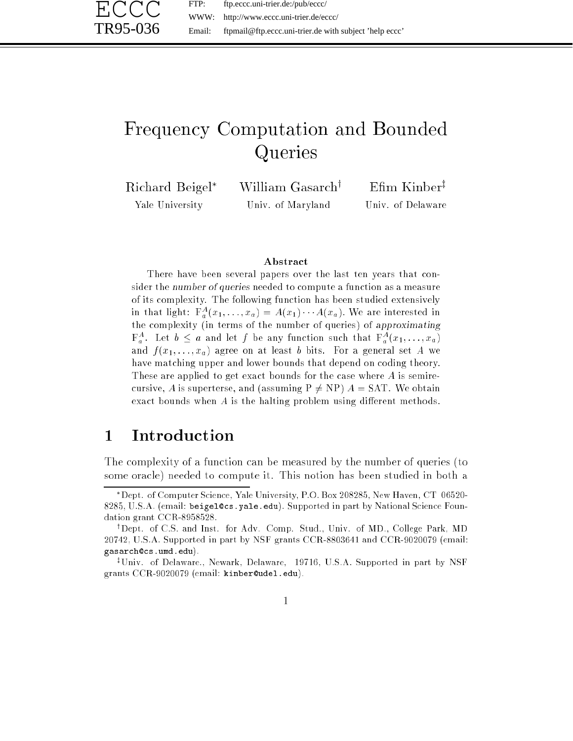FTP: ftp.eccc.uni-trier.de:/pub/eccc/ WWW: http://www.eccc.uni-trier.de/eccc/ Email: ftpmail@ftp.eccc.uni-trier.de with subject 'help eccc'

# Frequency Computation and Bounded Queries

Richard Beigel Yale University

ECCC

TR95-036

William Gasarch<sup>y</sup> Univ. of Maryland

Elliil Kiliber<sup>t</sup> Univ. of Delaware

#### Abstract

There have been several papers over the last ten years that consider the number of queries needed to compute a function as a measure of its complexity. The following function has been studied extensively in that light:  $F_a^A(x_1,\ldots,x_a) = A(x_1)\cdots A(x_a)$ . We are interested in the complexity (in terms of the number of queries) of approximating  $\mathbf{F}_a^A$ . Let  $b \le a$  and let f be any function such that  $\mathbf{F}_a^A(x_1, \ldots, x_a)$ and  $f(x_1, \ldots, x_a)$  agree on at least b bits. For a general set A we have matching upper and lower bounds that depend on coding theory. These are applied to get exact bounds for the case where A is semirecursive, A is superterse, and (assuming  $P \neq NP$ )  $A = SAT$ . We obtain exact bounds when  $A$  is the halting problem using different methods.

# 1 Introduction

The complexity of a function can be measured by the number of queries (to some oracle) needed to compute it. This notion has been studied in both a

Dept. of Computer Science, Yale University, P.O. Box 208285, New Haven, CT 06520- 8285, U.S.A. (email: beigel@cs.yale.edu). Supported in part by National Science Foundation grant CCR-8958528.

<sup>&</sup>lt;sup>†</sup>Dept. of C.S. and Inst. for Adv. Comp. Stud., Univ. of MD., College Park, MD 20742, U.S.A. Supported in part by NSF grants CCR-8803641 and CCR-9020079 (email: gasarch@cs.umd.edu).

<sup>&</sup>lt;sup>‡</sup>Univ. of Delaware., Newark, Delaware, 19716, U.S.A. Supported in part by NSF grants CCR-9020079 (email: kinber@udel.edu).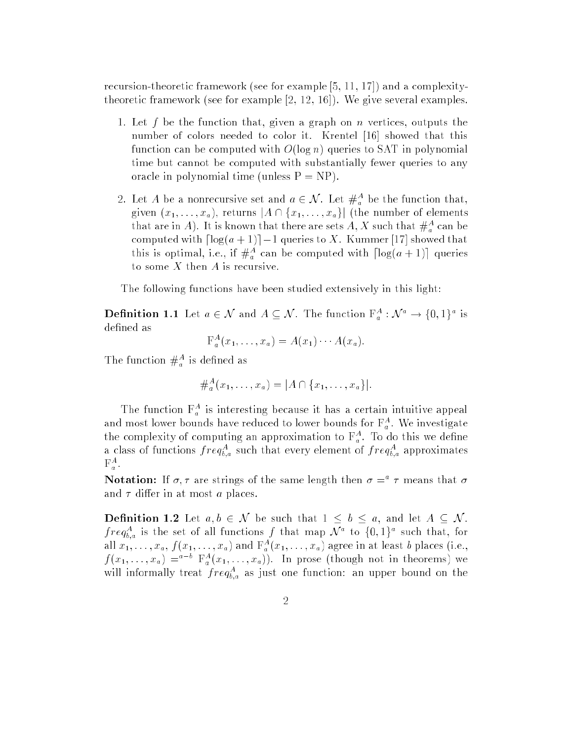recursion-theoretic framework (see for example [5, 11, 17]) and a complexitytheoretic framework (see for example [2, 12, 16]). We give several examples.

- 1. Let f be the function that, given a graph on n vertices, outputs the number of colors needed to color it. Krentel [16] showed that this function can be computed with  $O(\log n)$  queries to SAT in polynomial time but cannot be computed with substantially fewer queries to any oracle in polynomial time (unless  $P = NP$ ).
- 2. Let A be a nonrecursive set and  $a \in \mathcal{N}$ . Let  $\#_a$  be the function that, given  $(x_1, \ldots, x_a)$ , returns  $|A \cap \{x_1, \ldots, x_a\}|$  (the number of elements that are in  $A$ ). It is known that there are sets  $A, A$  such that  $\#_{a}^{+}$  can be computed with  $\lceil \log(a + 1) \rceil - 1$  queries to X. Kummer [17] showed that this is optimal, i.e., if  $\#_a$  can be computed with  $|\log(a + 1)|$  queries to some  $X$  then  $A$  is recursive.

The following functions have been studied extensively in this light:

**Definition 1.1** Let  $a \in \mathcal{N}$  and  $A \subseteq \mathcal{N}$ . The function  $\Gamma_a : \mathcal{N} \to \{0,1\}^*$  is defined as

$$
\mathrm{F}_a^A(x_1,\ldots,x_a)=A(x_1)\cdots A(x_a).
$$

The function  $\#_a^{\sim}$  is defined as

$$
#_a^A(x_1,\ldots,x_a) = |A \cap \{x_1,\ldots,x_a\}|.
$$

The function  $\Gamma_a^a$  is interesting because it has a certain intuitive appeal and most lower bounds have reduced to lower bounds for  $\mathbf{r}_a^{\mathrm{T}}$ . We investigate the complexity of computing an approximation to  ${\bf r}_a$ . To do this we define a class of functions  $freq_{b,a}^-$  such that every element of  $freq_{b,a}^-$  approximates  $\Gamma$ <sub>a</sub>.

**Notation:** If  $\sigma, \tau$  are strings of the same length then  $\sigma = -\tau$  means that  $\sigma$ and  $\tau$  differ in at most a places.

**Definition 1.2** Let  $a, b \in \mathcal{N}$  be such that  $1 \leq b \leq a$ , and let  $A \subseteq \mathcal{N}$ .  $freq_{b,a}$  is the set of all functions f that map  $N^+$  to  $\{0,1\}^+$  such that, for all  $x_1,\ldots,x_a$  ,  $f(x_1,\ldots,x_a)$  and  $\mathbf{r}_a$   $(x_1,\ldots,x_a)$  agree in at least  $\theta$  places (i.e.,  $f(x_1, \ldots, x_a) =$   $\Gamma_a(x_1, \ldots, x_a)$ . In prose (though not in theorems) we will informally treat  $freq_{b,a}$  as just one function: an upper bound on the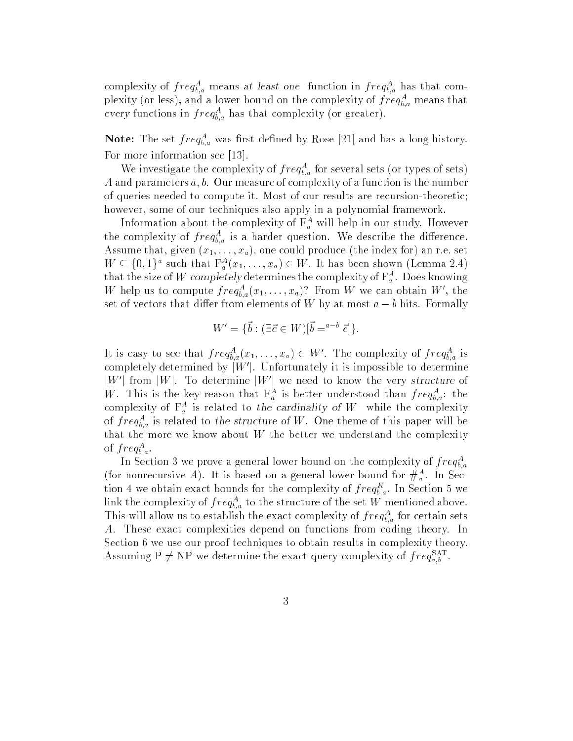complexity of  $freq_{\tilde{b},a}$  means at least one function in  $freq_{\tilde{b},a}$  has that complexity (or less), and a lower bound on the complexity of  $freq_{b,a}$  means that every functions in  $freq_{b,a}^+$  has that complexity (or greater).

**Note:** The set  $freq_{b,a}$  was first defined by Rose [21] and has a long history. For more information see [13].

We investigate the complexity of  $freq_{b,a}^*$  for several sets (or types of sets) A and parameters  $a, b$ . Our measure of complexity of a function is the number of queries needed to compute it. Most of our results are recursion-theoretic; however, some of our techniques also apply in a polynomial framework.

Information about the complexity of  $\mathbf{r}_a$  will help in our study. However the complexity of  $freq_{b,a}$  is a harder question. We describe the difference. Assume that, given  $(x_1, \ldots, x_a)$ , one could produce (the index for) an r.e. set  $W \subseteq \{0, 1\}^*$  such that  $\Gamma_a^-(x_1, \ldots, x_a) \in W$ . It has been shown (Lemma 2.4) that the size of W completely determines the complexity of  $\mathbf{r}_a$ . Does knowing w help us to compute  $freq_{b,a}^*(x_1,\ldots,x_a)$ : From w we can obtain w, the set of vectors that differ from elements of W by at most  $a - b$  bits. Formally

$$
W' = \{\vec{b} : (\exists \vec{c} \in W)[\vec{b} = a^{-b} \vec{c}]\}.
$$

It is easy to see that  $freq_{b,a}^+(x_1,\ldots,x_a) \in W$ . The complexity of  $freq_{b,a}^+($  is completely determined by  $\vert W\vert$ . Unfortunately it is impossible to determine  $\lceil W \rceil$  from  $\lceil W \rceil$ . To determine  $\lceil W \rceil$  we need to know the very structure of  $W$ . This is the key reason that  $\Gamma_a$  is better understood than  $freq_{\tilde{b},a}$ : the complexity of  $\mathbf{r}_a$  is related to the cardinality of W while the complexity of  $freq_{b,a}$  is related to the structure of W. One theme of this paper will be that the more we know about  $W$  the better we understand the complexity of  $\int r e q_{b,a}$ .

In Section 3 we prove a general lower bound on the complexity of  $freq_{b,a}^A$ b;a (for nonrecursive A). It is based on a general lower bound for  $\#_a^{\pi}$ . In Section 4 we obtain exact bounds for the complexity of  $freq_{b,a}$ . In Section 5 we link the complexity of  $freq_{b,a}^+$  to the structure of the set  $W$  mentioned above. This will allow us to establish the exact complexity of  $freq_{b,a}^{t}$  for certain sets A. These exact complexities depend on functions from coding theory. In Section 6 we use our proof techniques to obtain results in complexity theory. Assuming  $P \neq NP$  we determine the exact query complexity of  $freq_{a,b}^{SAT}$ .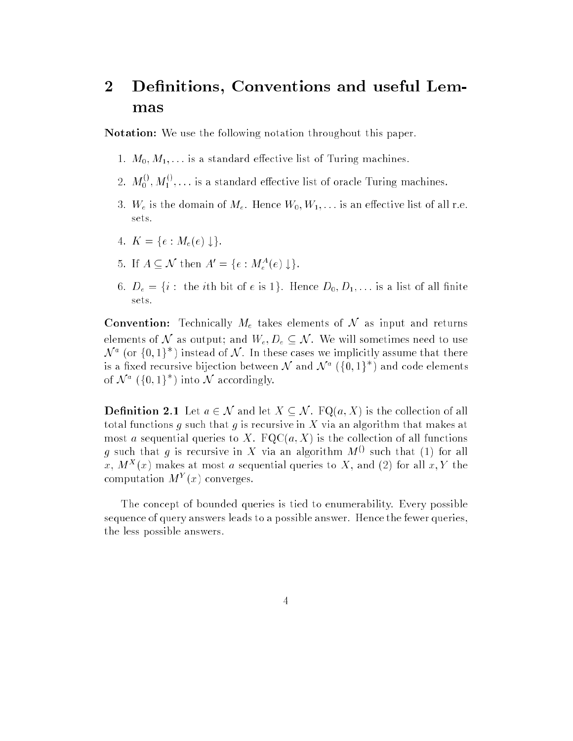### $\overline{2}$ Definitions, Conventions and useful Lemmas

Notation: We use the following notation throughout this paper.

- 1.  $M_0, M_1, \ldots$  is a standard effective list of Turing machines.
- 2.  $M_0^{()} , M_1^{()} , \ldots$  is a standard effective list of oracle Turing machines.
- 3.  $W_e$  is the domain of  $M_e$ . Hence  $W_0, W_1, \ldots$  is an effective list of all r.e. sets.
- 4.  $K = \{e : M_e(e) \downarrow \}.$
- $\emptyset$ . If  $A \subseteq N$  then  $A = \{e : M_e^-(e) \downarrow\}.$
- 6.  $D_e = \{i : \text{ the } i \text{th } \text{bit } \text{of } e \text{ is } 1\}$ . Hence  $D_0, D_1, \ldots$  is a list of all finite sets.

**Convention:** Technically  $M_e$  takes elements of N as input and returns elements of N as output; and  $W_e, D_e \subseteq \mathcal{N}$ . We will sometimes need to use  $\mathcal{N}$   $\degree$  (or {0,1} ) instead of  $\mathcal{N}$  . In these cases we implicitly assume that there is a fixed recursive bijection between  $N$  and  $N$  "  $\{0,1\}$  ) and code elements of  $N^+$  (30, 1) into  $N$  accordingly.

**Definition 2.1** Let  $a \in \mathcal{N}$  and let  $X \subseteq \mathcal{N}$ . FQ(a, X) is the collection of all total functions g such that g is recursive in X via an algorithm that makes at most a sequential queries to X.  $FQC(a, X)$  is the collection of all functions g such that g is recursive in X via an algorithm  $M^{(1)}$  such that (1) for all x,  $M^+(x)$  makes at most a sequential queries to  $\Lambda$ , and (2) for all  $x, Y$  the computation  $M^+(x)$  converges.

The concept of bounded queries is tied to enumerability. Every possible sequence of query answers leads to a possible answer. Hence the fewer queries, the less possible answers.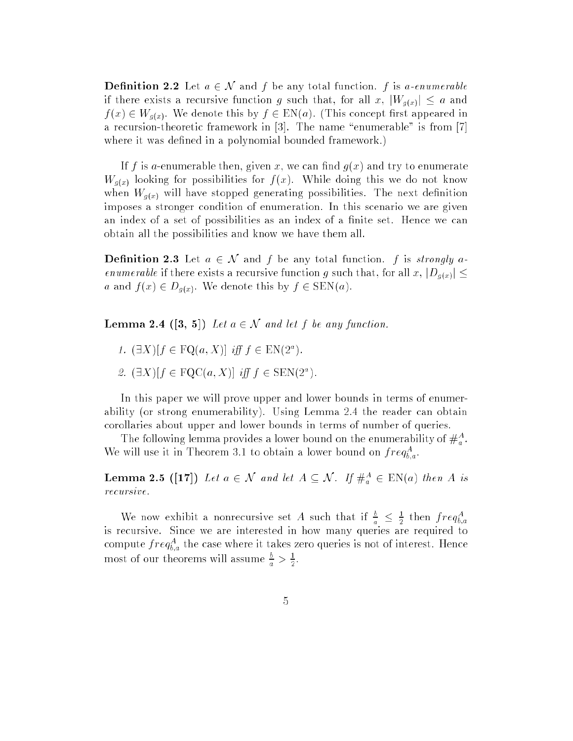**Definition 2.2** Let  $a \in \mathcal{N}$  and f be any total function. f is a-enumerable if there exists a recursive function g such that, for all x,  $|W_{g(x)}| \le a$  and  $f(x) \in W_{g(x)}$ . We denote this by  $f \in EN(a)$ . (This concept first appeared in a recursion-theoretic framework in  $[3]$ . The name "enumerable" is from  $[7]$ where it was defined in a polynomial bounded framework.)

If f is a-enumerable then, given x, we can find  $q(x)$  and try to enumerate  $W_{g(x)}$  looking for possibilities for  $f(x)$ . While doing this we do not know when  $W_{q(x)}$  will have stopped generating possibilities. The next definition imposes a stronger condition of enumeration. In this scenario we are given an index of a set of possibilities as an index of a finite set. Hence we can obtain all the possibilities and know we have them all.

**Definition 2.3** Let  $a \in \mathcal{N}$  and f be any total function. f is strongly aenumerable if there exists a recursive function g such that, for all x,  $|D_{g(x)}| \leq$ a and  $f(x) \in D_{g(x)}$ . We denote this by  $f \in \text{SEN}(a)$ .

**Lemma 2.4** ([3, 5]) Let  $a \in \mathcal{N}$  and let f be any function.

- 1.  $\Box A \parallel I \in \Gamma \cup (a, A)$  if  $I \in \Box N(Z^*)$ .
- $z \in \{ \exists \Lambda \mid \vert \in \Gamma \cup \cup \{a, \Lambda \mid \vert \exists \ell \mid \bot \in \Sigma \cup \Gamma \cup \bot \} \}$

In this paper we will prove upper and lower bounds in terms of enumerability (or strong enumerability). Using Lemma 2.4 the reader can obtain corollaries about upper and lower bounds in terms of number of queries.

The following lemma provides a lower bound on the enumerability of  $\#_a$ . We will use it in Theorem 3.1 to obtain a lower bound on  $freq_{b,a}$ .

**Lemma 2.5** ([17]) Let  $a \in \mathcal{N}$  and let  $A \subseteq \mathcal{N}$ . If  $\#_a \in \text{LN}(a)$  then A is recursive.

We now exhibit a nonrecursive set A such that if  $\frac{b}{a} \leq \frac{1}{2}$  then  $freq_{b,a}^A$ is recursive. Since we are interested in how many queries are required to compute  $freq_{b,a}$  the case where it takes zero queries is not of interest. Hence most of our theorems will assume  $\frac{b}{a} > \frac{1}{2}$ .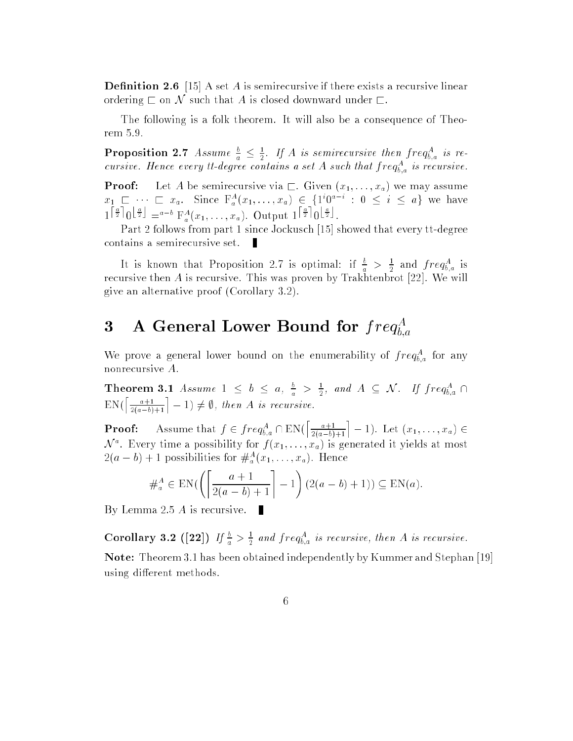**Definition 2.6** [15] A set A is semirecursive if there exists a recursive linear ordering  $\sqsubset$  on  $\mathcal N$  such that A is closed downward under  $\sqsubset$ .

The following is a folk theorem. It will also be a consequence of Theorem 5.9.

**Proposition 2.7** Assume  $\frac{b}{a} \leq \frac{1}{2}$ . If A is semirecursive then  $freq_{b,a}^A$  is recursive. Hence every it-degree contains a set A such that  $freq_{\vec{b},a}$  is recursive.

**Proof:** Let A be semirecursive via  $\Gamma$ . Given  $(x_1, \ldots, x_a)$  we may assume  $x_1 \perp \cdots \perp x_a$ . Since  $\Gamma_a^-(x_1,\ldots,x_a) \in \{1,0, \ldots, 0\} \subseteq i \subseteq a\}$  we have  $1^{|\frac{+}{2}|}0^{\frac{+}{2}} = a^{-b} F_a^A(x_1,\ldots,x_a)$ . Output  $1^{|\frac{+}{2}|}0^{\frac{+}{2}}$ .

Part 2 follows from part 1 since Jockusch [15] showed that every tt-degree contains a semirecursive set. П

It is known that Proposition 2.7 is optimal: if  $\frac{b}{a} > \frac{1}{2}$  and  $freq_{b,a}^A$  is recursive then A is recursive. This was proven by Trakhtenbrot [22]. We will give an alternative proof (Corollary 3.2).

#### 3 A General Lower Bound for  $freq_{b,a}^A$ b;a

we prove a general lower bound on the enumerability of  $freq_{b,a}^*$  for any nonrecursive A.

Theorem 3.1 Assume  $1 \leq b \leq a, \frac{b}{a} > \frac{1}{2},$  and  $A \subseteq \mathcal{N}$ . If  $freq_{b,a}^A \cap$  $EN(\left\lceil \frac{a+1}{2(a-b)+1} \right\rceil - 1) \neq \emptyset$ , then A is recursive.

**Proof:** Assume that  $f \in freq_{b,a}^A \cap EN(\left[\frac{a+1}{2(a-b)+1}\right]-1)$ . Let  $(x_1, \ldots, x_a) \in$  $\mathcal N$  . Every time a possibility for  $f(x_1,\ldots,x_a)$  is generated it yields at most  $\mathcal{Z}(a = b) + 1$  possibilities for  $\mathcal{H}_a^-(x_1, \ldots, x_a)$ . Hence

$$
\#_a^A \in \mathrm{EN}\left(\left\lceil \frac{a+1}{2(a-b)+1} \right\rceil - 1\right) \left(2(a-b)+1\right) \subseteq \mathrm{EN}(a).
$$

By Lemma 2.5 A is recursive. П

**Corollary 3.2** ([22]) If  $\frac{b}{a} > \frac{1}{2}$  and freq<sup>A</sup><sub>*a*</sub> is recursive, then A is recursive.

Note: Theorem 3.1 has been obtained independently by Kummer and Stephan [19] using different methods.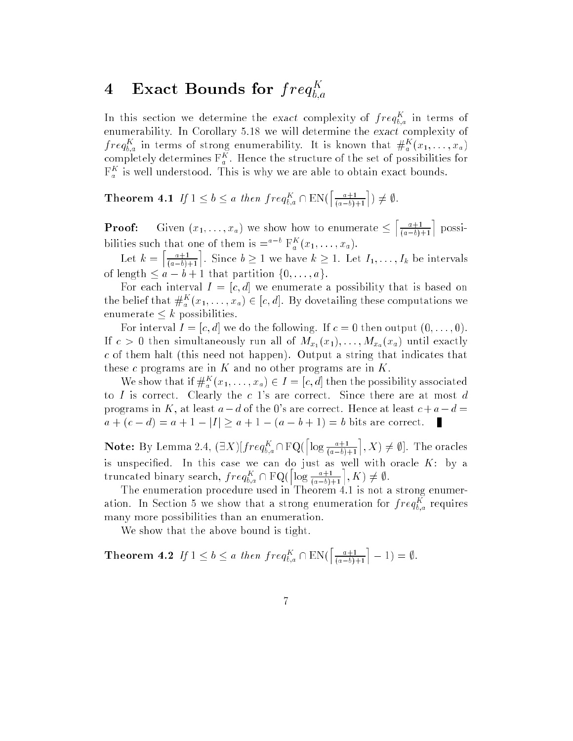#### 4 Exact Bounds for  $freq_{ba}^K$ bit and the state of the state of

In this section we determine the exact complexity of  $freq_{b,a}$  in terms of enumerability. In Corollary 5.18 we will determine the exact complexity of  $freq_{b,a}$  in terms of strong enumerability. It is known that  $\#_a^-(x_1,\ldots,x_a)$ completely determines  $\mathbf{r}_a$  . Hence the structure of the set of possibilities for  $\Gamma_a^{\alpha}$  is well understood. This is why we are able to obtain exact bounds.

**Theorem 4.1** If  $1 \leq b \leq a$  then  $freq_{b,a}^K \cap EN(\left\lceil \frac{a+1}{(a-b)+1} \right\rceil) \neq \emptyset$ .

**Froof:** Given  $(x_1, \ldots, x_a)$  we show how to enumerate  $\le$  $\left\lceil \frac{a+1}{(a-b)+1} \right\rceil$  possibilities such that one of them is  $=$   $\Gamma_a^{\dagger}(x_1,\ldots,x_a)$ .

 $\left\lceil \frac{a+1}{(a-b)+1} \right\rceil$ . Since  $b \geq 1$  we have  $k \geq 1$ . Let  $I_1, \ldots, I_k$  be intervals of length  $\leq a - b + 1$  that partition  $\{0, \ldots, a\}.$ 

For each interval  $I = [c, d]$  we enumerate a possibility that is based on the belief that  $\#_a(x_1,\ldots,x_a)\in[c,a]$ . By dovetailing these computations we enumerate  $\leq k$  possibilities.

For interval  $I = [c, d]$  we do the following. If  $c = 0$  then output  $(0, \ldots, 0)$ . If  $c > 0$  then simultaneously run all of  $M_{x_1}(x_1), \ldots, M_{x_n}(x_n)$  until exactly c of them halt (this need not happen). Output a string that indicates that these  $c$  programs are in  $K$  and no other programs are in  $K$ .

We show that  $\pi$   $\pi$ <sub>a</sub>  $(x_1, \ldots, x_a) \in I = [c, a]$  then the possibility associated to I is correct. Clearly the  $c$  1's are correct. Since there are at most  $d$ programs in K, at least  $a-d$  of the 0's are correct. Hence at least  $c+a-d=$  $a + (c - d) = a + 1 - |I| \ge a + 1 - (a - b + 1) = b$  bits are correct. П

**Note:** By Lemma 2.4,  $(\exists X)[freq_{b,a}^K \cap \mathrm{FQ}(\lceil \log \frac{a+1}{(a-b)+1} \rceil, X) \neq \emptyset].$  The oracles is unspecied. In this case we can do just as well with oracle K: by a truncated binary search,  $freq_{b,a} \sqcup \text{rQ}$  $\left\lceil \log \frac{a+1}{(a-b)+1} \right\rceil, K \supset \neq \emptyset.$ 

The enumeration procedure used in Theorem 4.1 is not a strong enumeration. In Section 5 we show that a strong enumeration for  $freq_{b,a}$  requires many more possibilities than an enumeration.

We show that the above bound is tight.

**Theorem 4.2** If  $1 \leq b \leq a$  then  $freq_{b,a}^K \cap EN(\left\lceil \frac{a+1}{(a-b)+1} \right\rceil - 1) = \emptyset$ .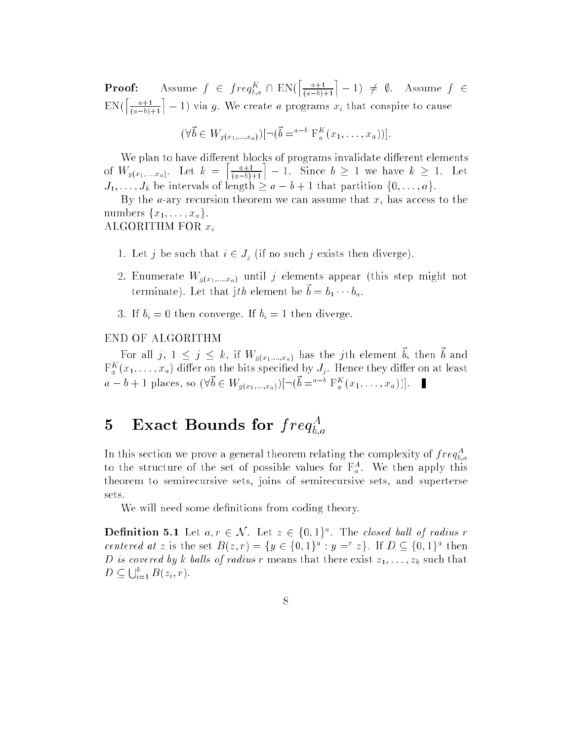**Proof:** Assume  $f \in \text{freq}_{b,a} \cup \text{EN}($  $\left\lceil \frac{a+1}{(a-b)+1} \right\rceil - 1$   $\neq \emptyset$ . Assume  $f \in$  $EN(\left\lceil \frac{a+1}{(a-b)+1} \right\rceil - 1)$  via g. We create a programs  $x_i$  that conspire to cause

$$
(\forall \vec{b} \in W_{g(x_1,...,x_a)}) [\neg (\vec{b} = a^{-b} \mathcal{F}_a^K(x_1,...,x_a))].
$$

We plan to have different blocks of programs invalidate different elements of  $W_{g(x_1,...,x_a)}$ . Let  $k = \left\lceil \frac{a+1}{(a-b)+1} \right\rceil - 1$ . Since  $b \ge 1$  we have  $k \ge 1$ . Let  $J_1, \ldots, J_k$  be intervals of length  $\geq a - b + 1$  that partition  $\{0, \ldots, a\}.$ 

By the *a*-ary recursion theorem we can assume that  $x_i$  has access to the numbers  $\{x_1, \ldots, x_n\}$ .

ALGORITHM FOR  $x_i$ 

- 1. Let j be such that  $i \in J_i$  (if no such j exists then diverge).
- 2. Enumerate  $W_{g(x_1,...,x_a)}$  until j elements appear (this step might not becommate). Let that jth element be  $v = v_1 + v_a$ .
- 3. If  $b_i = 0$  then converge. If  $b_i = 1$  then diverge.

#### END OF ALGORITHM

For all  $j, 1 \leq j \leq \kappa$ , if  $W_{g(x_1,...,x_a)}$  has the jth element  $v$ , then  $v$  and  $\mathbf{r}_a\ (x_1,\ldots,x_a)$  differ on the bits specified by  $J_j.$  Hence they differ on at least  $a = b + 1$  places, so  $(\forall b \in W_{g(x_1,...,x_a)})$ [ $\neg (b = a \cap \Gamma_a(x_1,...,x_a))$ ].

#### 5 Exact Bounds for  $freq_{ba}^A$ b;a

In this section we prove a general theorem relating the complexity of  $freq_{b,a}^A$ b;a to the structure of the set of possible values for  $\mathbf{r}_a^{\mathrm{T}}$ . We then apply this theorem to semirecursive sets, joins of semirecursive sets, and superterse sets.

We will need some definitions from coding theory.

**Definition 5.1** Let  $a, r \in \mathcal{N}$ . Let  $z \in \{0, 1\}^{\circ}$ . The closed ball of radius r centered at z is the set  $D(z, r) = \{y \in \{0, 1\}^* : y = z\}$ . If  $D \subseteq \{0, 1\}^*$  then D is covered by k balls of radius r means that there exist  $z_1, \ldots, z_k$  such that  $D \subseteq \bigcup_{i=1}^{\kappa} B(z_i,r).$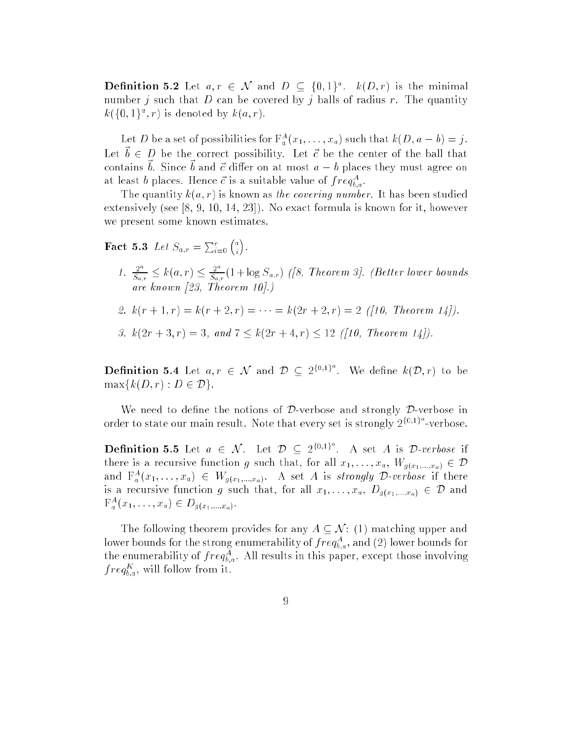**Definition 5.2** Let  $a, r \in \mathcal{N}$  and  $D \subseteq \{0, 1\}^*$ .  $\kappa(D, r)$  is the minimal number j such that  $D$  can be covered by j balls of radius r. The quantity  $\kappa(\{\{0,1\}^*,r\})$  is denoted by  $\kappa(a,r)$ .

Let D be a set of possibilities for  $\Gamma_a(x_1,\ldots,x_a)$  such that  $\kappa(D,a-b)=j$ . Her  $\alpha \in \mathcal{D}$  be the correct bossibility. Her c be the center of the ball that contains  $v$ . Since  $v$  and  $c$  unier on at most  $a = v$  places they must agree on at least  $\theta$  places. Hence  $c$  is a suitable value of  $freq_{b,a}^{\perp}.$ 

The quantity  $k(a, r)$  is known as the covering number. It has been studied extensively (see  $[8, 9, 10, 14, 23]$ ). No exact formula is known for it, however we present some known estimates.

**Fact 5.3** Let  $S_{a,r} = \sum_{i=0}^{r} {a \choose i}$ 

- 1.  $\frac{2^a}{S_{a,r}} \le k(a,r) \le \frac{2^a}{S_{a,r}}(1+\log S_{a,r})$  ([8, Theorem 3]. (Better lower bounds are known in the contract of the contract of the contract of the contract of the contract of the contract of the contract of the contract of the contract of the contract of the contract of the contract of the contract of t
- 2.  $k(r+1,r) = k(r+2,r) = \cdots = k(2r+2,r) = 2$  ([10, Theorem 14]).
- 3.  $k(2r+3, r) = 3$ , and  $7 \leq k(2r+4, r) \leq 12$  ([10, Theorem 14]).

**Definition 5.4** Let  $a, r \in \mathcal{N}$  and  $\mathcal{D} \subset 2^{\{0,1\}^d}$ . We define  $k(\mathcal{D}, r)$  to be  $\max\{k(D, r) : D \in \mathcal{D}\}.$ 

We need to define the notions of  $D$ -verbose and strongly  $D$ -verbose in order to state our main result. Note that every set is strongly  $2^{\{0,1\}^a}$ -verbose.

**Definition 5.5** Let  $a \in \mathcal{N}$ . Let  $\mathcal{D} \subset 2^{\{0,1\}^d}$ . A set A is  $\mathcal{D}\text{-}verbose$  if there is a recursive function g such that, for all  $x_1, \ldots, x_a$ ,  $W_{g(x_1,\ldots,x_a)} \in \mathcal{D}$ and  $\mathbf{r}_{a}^{-}(x_{1},\ldots,x_{a}) \in W_{g(x_{1},\ldots,x_{a})}.$  A set A is *strongly D-verbose* if there is a recursive function g such that, for all  $x_1, \ldots, x_a, D_{g(x_1, \ldots, x_a)} \in D$  and  $\Gamma_{a}^{-}(x_{1},\ldots,x_{a}) \in D_{g(x_{1},...,x_{a})}.$ 

The following theorem provides for any  $A \subseteq \mathcal{N}$ : (1) matching upper and lower bounds for the strong enumerability of  $freq_{b,a}^+,$  and  $(2)$  lower bounds for the enumerability of  $freq_{b,a}$ . All results in this paper, except those involving  $j \, reg_{b,a}$ , will follow from it.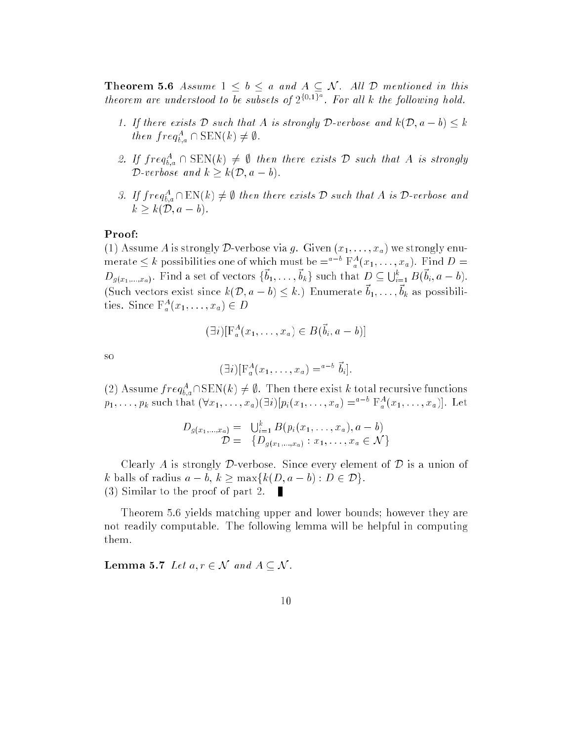**Theorem 5.6** Assume  $1 \leq b \leq a$  and  $A \subseteq \mathcal{N}$ . All  $\mathcal{D}$  mentioned in this theorem are understood to be subsets of  $2^{\{0,1\}^a}$ . For all k the following hold.

- 1. If there exists  $D$  such that A is strongly  $D$ -verbose and  $k(\mathcal{D}, a b) \leq k$  $then \, freq_{b,a} \cap \text{SDN}(k) \neq \emptyset.$
- 2. If  $freq_{b,a} \cap \text{SDN}(k) \neq \emptyset$  then there exists D such that A is strongly D-verbose and  $k \geq k(\mathcal{D}, a - b)$ .
- 3. If  $freq_{\tilde{b}_a}$  (EN(k)  $\neq$   $\psi$  then there exists D such that A is D-verbose and  $k > k(\mathcal{D}, a - b).$

#### Proof:

(1) Assume A is strongly D-verbose via g. Given  $(x_1, \ldots, x_n)$  we strongly enumerate  $\leq k$  possibilities one of which must be  $=$   $\int_{a}^{1}(x_1,\ldots,x_a)$ . Find  $D=$  $D_{g(x_1,...,x_a)}$ . Find a set of vectors  $\{b_1,...,b_k\}$  such that  $D \subseteq \bigcup_{i=1}^{\kappa} B(b_i, a-b)$ . (Such vectors exist since  $\kappa(\nu, a - \nu) \leq \kappa$ .) Enumerate  $\sigma_1, \ldots, \sigma_k$  as possibilities. Since  $\Gamma_a(x_1,\ldots,x_a) \in D$ 

$$
(\exists i)[\mathcal{F}_a^A(x_1,\ldots,x_a)\in B(\vec{b}_i,a-b)]
$$

so

$$
(\exists i)[\mathcal{F}_a^A(x_1,\ldots,x_a)=^{a-b}\vec{b}_i].
$$

(2) Assume  $freq_{b,a}^T$  is EN(k)  $\neq$   $\psi$ . Then there exist k total recursive functions  $p_1,\ldots,p_k$  such that  $(\forall x_1,\ldots,x_a)(\exists i)[p_i(x_1,\ldots,x_a) =$  for  $\mathbb{F}_a^{\pi}(x_1,\ldots,x_a)]$ . Let

$$
D_{g(x_1,...,x_a)} = \bigcup_{i=1}^k B(p_i(x_1,...,x_a), a - b)
$$
  

$$
D = \{D_{g(x_1,...,x_a)} : x_1,...,x_a \in \mathcal{N}\}
$$

Clearly A is strongly  $\mathcal D$ -verbose. Since every element of  $\mathcal D$  is a union of k balls of radius  $a - b$ ,  $k \ge \max\{k(D, a - b) : D \in \mathcal{D}\}.$ (3) Similar to the proof of part 2. п

Theorem 5.6 yields matching upper and lower bounds; however they are not readily computable. The following lemma will be helpful in computing them.

**Lemma 5.7** Let  $a, r \in \mathcal{N}$  and  $A \subseteq \mathcal{N}$ .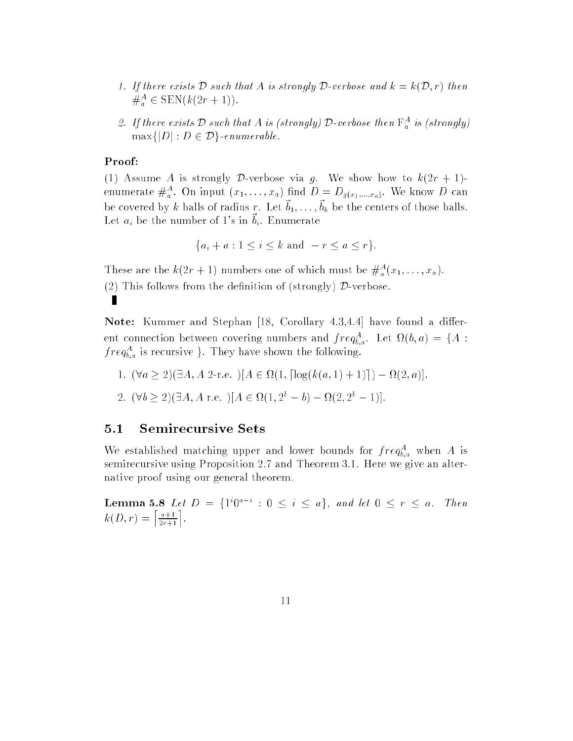- 1. If there exists D such that A is strongly D-verbose and  $k = k(\mathcal{D}, r)$  then  $\mathcal{F}_a \in \text{SLN}(\kappa(2r+1)).$
- 2. If there exists D such that A is (strongly) D-verbose then  $\Gamma_a^{\;\;\alpha}$  is (strongly)  $\max\{|D|: D \in \mathcal{D}\}\)-\text{enumerate}$

### Proof:

(1) Assume A is strongly D-verbose via g. We show how to  $k(2r + 1)$ enumerate  $\overline{\pi}_a$ . On input  $(x_1,\ldots,x_a)$  ind  $D=D_{g(x_1,\ldots,x_a)}$ . We know D can be covered by k balls of radius r. Let  $v_1, \ldots, v_k$  be the centers of those balls. Let  $a_i$  be the number of 1's in  $b_i$ . Enumerate

$$
\{a_i + a : 1 \le i \le k \text{ and } -r \le a \le r\}.
$$

These are the  $\kappa(2r+1)$  numbers one of which must be  $\pi_a(x_1,\ldots,x_a)$ . (2) This follows from the definition of (strongly)  $\mathcal{D}$ -verbose. П

**Note:** Kummer and Stephan [18, Corollary 4.3,4.4] have found a different connection between covering numbers and  $freq_{b,a}$ . Let  $\Omega(b,a) = \{A:$  $freq_{b,a}$  is recursive }. They have shown the following.

- 1. (8a 2)(9A; A 2-r.e. )[A <sup>2</sup> (1; dlog(k(a; 1) + 1)e) (2; a)].
- $2. 1 \vee 0 \geq 2$  is the  $A$  r.e.  $||A \in M(1, 2e = 0) = M(2, 2e = 1)$ .

## 5.1 Semirecursive Sets

we established matching upper and lower bounds for  $freq_{b,a}^+$  when A is semirecursive using Proposition 2.7 and Theorem 3.1. Here we give an alternative proof using our general theorem.

**Lemma 5.8** Let  $D = \{1, 0, \dots, 0\} \setminus \{1, 0\}$ , and let  $0 \leq r \leq a$ . Then  $k(D, r) = \left[\frac{a+1}{2r+1}\right].$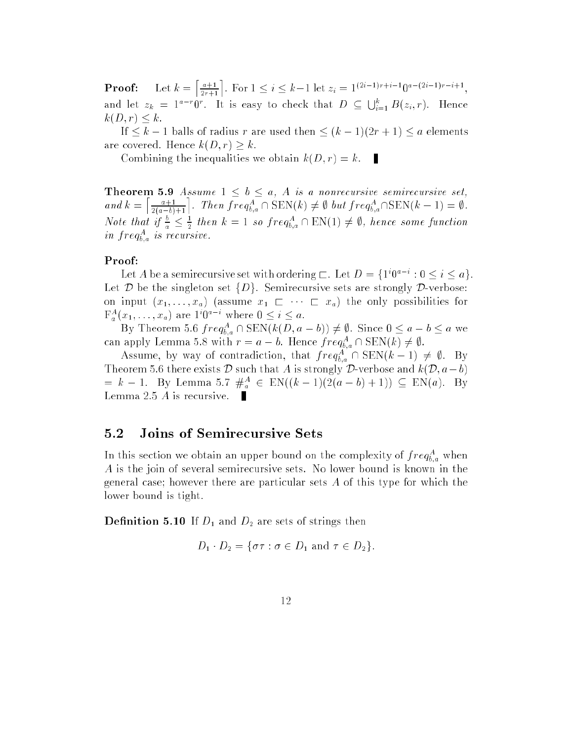$\left\lceil \frac{a+1}{2r+1} \right\rceil$ . For  $1 \leq i \leq k-1$  let  $z_i = 1^{(2i-1)r+i-1}0^{a-(2i-1)r-i+1}$ , and let  $z_k = 1^{a-r}0^r$ . It is easy to check that  $D \subseteq \bigcup_{i=1}^k B(z_i,r)$ . Hence  $k(D, r) \leq k.$ 

If  $\leq k - 1$  balls of radius r are used then  $\leq (k - 1)(2r + 1) \leq a$  elements are covered. Hence  $k(D, r) \geq k$ .

Combining the inequalities we obtain  $k(D, r) = k$ .  $\mathbf{r}$ 

**Theorem 5.9** Assume  $1 \leq b \leq a$ , A is a nonrecursive semirecursive set,  $\left\lceil \frac{a+1}{2(a-b)+1} \right\rceil$ . Then  $freq_{b,a}^A \cap \text{SEN}(k) \neq \emptyset$  but  $freq_{b,a}^A \cap \text{SEN}(k-1) = \emptyset$ . Note that if  $\frac{b}{a} \leq \frac{1}{2}$  then  $k = 1$  so  $freq_{b,a}^A \cap EN(1) \neq \emptyset$ , hence some function in  $j$  re $q_{b,a}$  is recursive.

#### Proof:

Let A be a semirecursive set with ordering  $\Box$ . Let  $D = \{1, 0, \ldots, 0, 0, 0, \ldots, 0\}$ . Let  $D$  be the singleton set  $\{D\}$ . Semirecursive sets are strongly  $D$ -verbose: on input  $(x_1, \ldots, x_a)$  (assume  $x_1 \sqsubset \cdots \sqsubset x_a$ ) the only possibilities for  $\Gamma_a(x_1,\ldots,x_a)$  are  $\Gamma\mathbb{U}^*$  where  $0\leq i\leq a$ .

By Theorem 5.6  $freq_{b,a}^+$  is served  $k(D, a - b)$ )  $\neq \emptyset$ . Since  $0 \leq a - b \leq a$  we can apply Lemma 5.8 with  $r = a - b$ . Hence  $freq_{b,a} \cap \text{SLN}(k) \neq \emptyset$ .

Assume, by way of contradiction, that  $freq_{b,a}^+$  if  $SEN(K-1) \neq \emptyset$ . By Theorem 5.6 there exists  $\mathcal D$  such that A is strongly  $\mathcal D$ -verbose and  $k(\mathcal D, a-b)$  $= \kappa - 1$ . By Lemma 5.7  $\pi_a \in \text{EN}((\kappa - 1)(2(a - b) + 1)) \subseteq \text{EN}(a)$ . By Lemma 2.5 A is recursive. п

## 5.2 Joins of Semirecursive Sets

In this section we obtain an upper bound on the complexity of  $freq_{b,a}$  when A is the join of several semirecursive sets. No lower bound is known in the general case; however there are particular sets A of this type for which the lower bound is tight.

**Definition 5.10** If  $D_1$  and  $D_2$  are sets of strings then

$$
D_1 \cdot D_2 = \{ \sigma \tau : \sigma \in D_1 \text{ and } \tau \in D_2 \}.
$$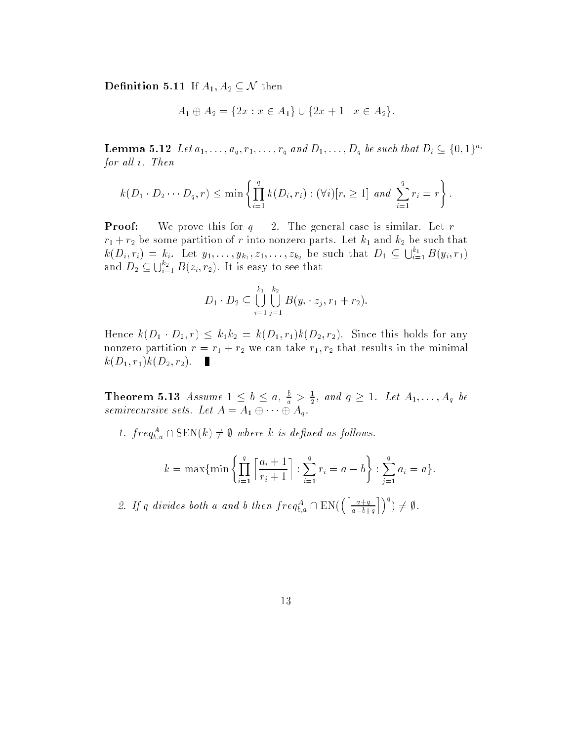**Definition 5.11** If  $A_1, A_2 \subseteq \mathcal{N}$  then

$$
A_1 \oplus A_2 = \{2x : x \in A_1\} \cup \{2x + 1 \mid x \in A_2\}.
$$

**Lemma 5.12** Let  $a_1, ..., a_q, r_1, ..., r_q$  and  $D_1, ..., D_q$  be such that  $D_i \subseteq \{0, 1\}^{a_i}$ for all i. Then

$$
k(D_1 \cdot D_2 \cdots D_q, r) \le \min \left\{ \prod_{i=1}^q k(D_i, r_i) : (\forall i) [r_i \ge 1] \text{ and } \sum_{i=1}^q r_i = r \right\}.
$$

**Proof:** We prove this for  $q = 2$ . The general case is similar. Let  $r =$  $r_1 + r_2$  be some partition of r into nonzero parts. Let  $k_1$  and  $k_2$  be such that  $k(D_i,r_i) = k_i$ . Let  $y_1,\ldots,y_{k_1},z_1,\ldots,z_{k_2}$  be such that  $D_1 \subseteq \bigcup_{i=1}^{k_1} B(y_i,r_1)$ and  $D_2 \subseteq \bigcup_{i=1}^{\kappa_2} B(z_i,r_2)$ . It is easy to see that

$$
D_1 \cdot D_2 \subseteq \bigcup_{i=1}^{k_1} \bigcup_{j=1}^{k_2} B(y_i \cdot z_j, r_1 + r_2).
$$

Hence  $k(D_1 \cdot D_2, r) \leq k_1k_2 = k(D_1, r_1)k(D_2, r_2)$ . Since this holds for any nonzero partition  $r = r_1 + r_2$  we can take  $r_1, r_2$  that results in the minimal  $k(D_1, r_1)k(D_2, r_2).$ 

**Theorem 5.13** Assume  $1 \leq b \leq a$ ,  $\frac{b}{a} > \frac{1}{2}$ , and  $q \geq 1$ . Let  $A_1, \ldots, A_q$  be semirecursive sets. Let  $A = A_1 \oplus \cdots \oplus A_q$ .

1.  $freq_{b,a}$  (1.5EN(k)  $\neq$  where k is defined as follows.

$$
k = \max\{\min\left\{\prod_{i=1}^q \left\lceil \frac{a_i + 1}{r_i + 1} \right\rceil : \sum_{i=1}^q r_i = a - b\right\} : \sum_{j=1}^q a_j = a\}.
$$

2. If q divides both a and b then  $freq_{b,a}^A \cap EN(\left[\frac{a+q}{a-b+q}\right])$ ת ר $q$ ) 6= ;.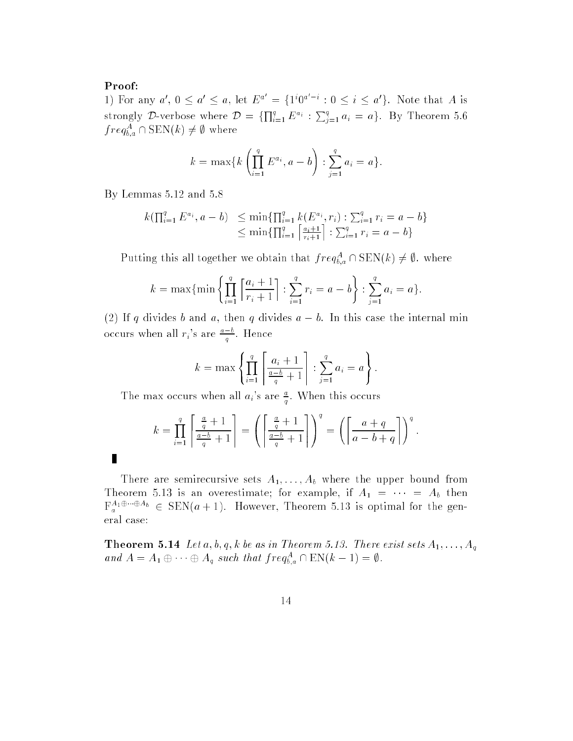#### Proof:

П

1) For any  $a', 0 \le a' \le a$ , let  $E^a = \{1^i 0^{a-i} : 0 \le i \le a'\}$ . Note that A is strongly D-verbose where  $\mathcal{D} = \{\prod_{i=1}^q E^{a_i} : \sum_{i=1}^q a_i = a\}$ . By Theorem 5.6  $freq_{b,a}$   $\sqcup$  SEN(k)  $\neq \emptyset$  where

$$
k = \max\{k\left(\prod_{i=1}^{q} E^{a_i}, a - b\right) : \sum_{j=1}^{q} a_j = a\}.
$$

By Lemmas 5.12 and 5.8

$$
k(\prod_{i=1}^{q} E^{a_i}, a - b) \leq \min\{\prod_{i=1}^{q} k(E^{a_i}, r_i) : \sum_{i=1}^{q} r_i = a - b\}
$$
  
 
$$
\leq \min\{\prod_{i=1}^{q} \left\lceil \frac{a_i + 1}{r_i + 1} \right\rceil : \sum_{i=1}^{q} r_i = a - b\}
$$

Putting this all together we obtain that  $freq_{b,a}^+$  is  $E(N(k) \neq \emptyset$ . where

$$
k = \max\{\min\left\{\prod_{i=1}^q \left\lceil \frac{a_i+1}{r_i+1} \right\rceil : \sum_{i=1}^q r_i = a-b\right\} : \sum_{j=1}^q a_j = a\}.
$$

(2) If q divides b and a, then q divides  $a - b$ . In this case the internal min occurs when all  $r_i$ 's are  $\frac{a-b}{q}$ . Hence

$$
k = \max \left\{ \prod_{i=1}^{q} \left[ \frac{a_i + 1}{\frac{a - b}{q} + 1} \right] : \sum_{j=1}^{q} a_j = a \right\}.
$$

The max occurs when all  $a_i$ 's are  $\frac{a}{q}$ . When this occurs

$$
k = \prod_{i=1}^{q} \left[ \frac{\frac{a}{q} + 1}{\frac{a-b}{q} + 1} \right] = \left( \left[ \frac{\frac{a}{q} + 1}{\frac{a-b}{q} + 1} \right] \right)^{q} = \left( \left[ \frac{a+q}{a-b+q} \right] \right)^{q}.
$$

There are semirecursive sets  $A_1, \ldots, A_b$  where the upper bound from Theorem 5.13 is an overestimate; for example, if  $A_1 = \cdots = A_b$  then  $F_a^{1,0}$ ,  $\theta \to \text{ELN}(a + 1)$ . However, Theorem 5.13 is optimal for the general case:

**Theorem 5.14** Let a, b, q, k be as in Theorem 5.13. There exist sets  $A_1, \ldots, A_q$ and  $A = A_1 \oplus \cdots \oplus A_q$  such that  $freq_{b,q} \cap \text{EN}(k-1) = \emptyset$ .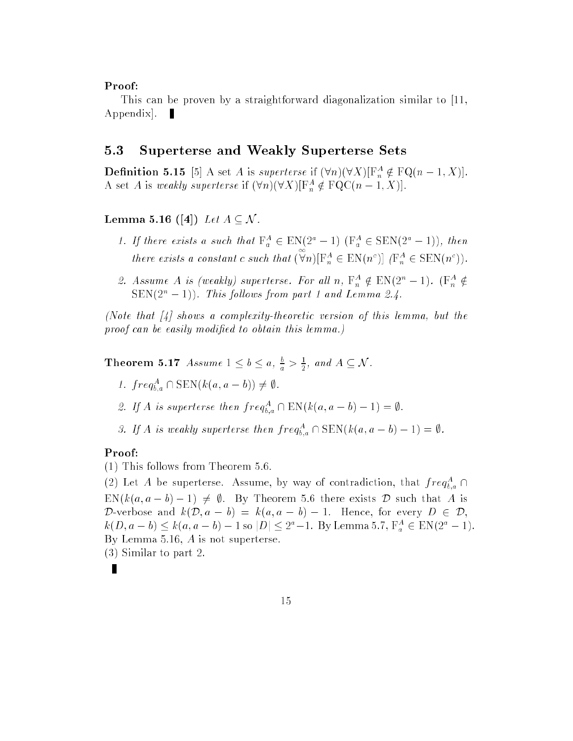#### Proof:

This can be proven by a straightforward diagonalization similar to [11, Appendix.  $\blacksquare$ 

## 5.3 Superterse and Weakly Superterse Sets

**Demition 5.15** [5] A set A is *superterse* if  $(\forall n)(\forall \lambda)[\Gamma_n^* \notin \Gamma Q(n-1,\Lambda)].$ A set A is weakly superterse if  $(\forall n)(\forall \Lambda)[\Gamma_n \notin \Gamma Q \cup (n-1, \Lambda)].$ 

### Lemma 5.16 ([4]) Let  $A \subseteq \mathcal{N}$ .

- 1. If there exists a such that  $\Gamma_a \in \text{EN}(2-1)$   $(\Gamma_a \in \text{SLN}(2-1))$ , then there exists a constant c such that (  $\forall n)[\mathbf{F}_n^A \in \mathrm{EN}(n^c)]$   $(\mathbf{F}_n^A \in \mathrm{SEN}(n^c)).$
- 2. Assume A is (weakly) superterse. For all n,  $\Gamma_n \notin \text{EN}(2-1)$ .  $(\Gamma_n \notin$  $\text{SEN}(2^n-1)$ ). This follows from part 1 and Lemma 2.4.

(Note that  $\begin{bmatrix} 4 \end{bmatrix}$  shows a complexity-theoretic version of this lemma, but the proof can be easily modified to obtain this lemma.)

**Theorem 5.17** Assume  $1 \leq b \leq a$ ,  $\frac{b}{a} > \frac{1}{2}$ , and  $A \subseteq \mathcal{N}$ .

- 1.  $j \, r \, e q_{b,a} + \mathsf{SEN}\left(\kappa(a,a-b)\right) \neq \emptyset$ .
- 2. If A is superterse then  $freq_{b,a} \sqcup \text{EN}(k(a,a-b)-1) = \emptyset$ .
- 3. If A is weakly superterse then  $freq_{b,a}$   $\Box$   $\text{SDIN}(k(a,a-b)-1) = \emptyset$ .

#### Proof:

(1) This follows from Theorem 5.6.

(2) Let A be superterse. Assume, by way of contradiction, that  $freq_{b,a}^+ \cap$  $EN(k(a, a - b) - 1) \neq \emptyset$ . By Theorem 5.6 there exists D such that A is D-verbose and  $k(\mathcal{D}, a - b) = k(a, a - b) - 1$ . Hence, for every  $D \in \mathcal{D}$ ,  $k(D, a = b) \leq k(a, a = b) = 1$  so  $|D| \leq 2^2 - 1$ . By Lemma 5.7,  $\Gamma_a^a \in \text{EN}(2^2 - 1)$ . By Lemma 5.16, A is not superterse. (3) Similar to part 2.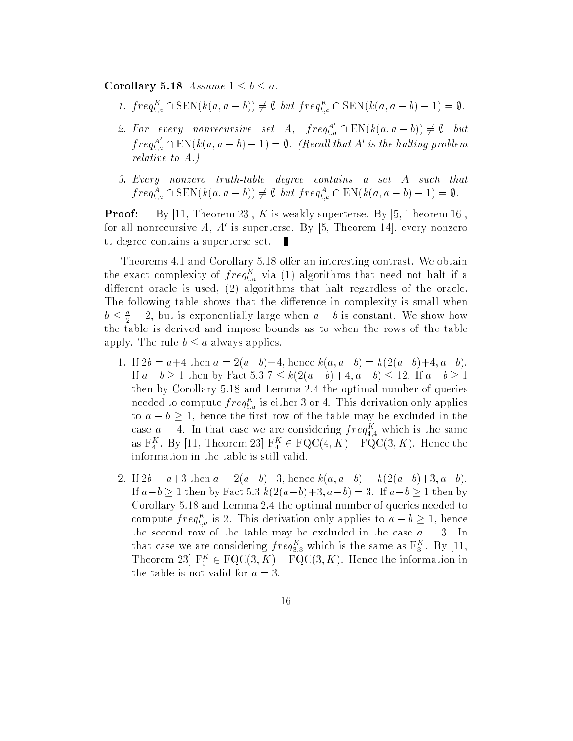Corollary 5.18 Assume  $1 \leq b \leq a$ .

- 1.  $j \, r \, e q_{b,a} + S_{\text{EN}}(k(a, a b)) \neq \emptyset$  out  $j \, r \, e q_{b,a} + S_{\text{EN}}(k(a, a b) 1) = \emptyset$ .
- 2. For every nonrecursive set A,  $freq_{b,a}^A \cap EN(k(a, a-b)) \neq \emptyset$  but  $freq_{b,a}^A \cap EN(k(a,a-b)-1) = \emptyset.$  (Recall that A' is the halting problem relative to A.)
- 3. Every nonzero truth-table degree contains a set A such that  $f \n\mathit{req}_{b,a} \sqcup \text{SEN}(k(a,a-b)) \neq \emptyset$  out  $\mathit{freq}_{b,a} \sqcup \text{EN}(k(a,a-b)-1) = \emptyset$ .

**Proof:** By [11, Theorem 23], K is weakly superterse. By [5, Theorem 16] for all nonrecursive A, A<sup>0</sup> is superterse. By [5, Theorem 14], every nonzero tt-degree contains a superterse set.

Theorems 4.1 and Corollary 5.18 offer an interesting contrast. We obtain the exact complexity of  $freq_{b,a}^+$  via (1) algorithms that need not halt if a different oracle is used,  $(2)$  algorithms that halt regardless of the oracle. The following table shows that the difference in complexity is small when  $b \leq \frac{1}{2} + 2$ , but is exponentially large when  $a - b$  is constant. We show how the table is derived and impose bounds as to when the rows of the table apply. The rule  $b \le a$  always applies.

- 1. If  $2b = a+4$  then  $a = 2(a-b)+4$ , hence  $k(a, a-b) = k(2(a-b)+4, a-b)$ . If  $a - b \ge 1$  then by Fact 5.3  $7 \le k(2(a - b) + 4, a - b) \le 12$ . If  $a - b \ge 1$ then by Corollary 5.18 and Lemma 2.4 the optimal number of queries needed to compute  $freq_{b,a}$  is either 3 or 4. This derivation only applies to  $a - b \geq 1$ , hence the first row of the table may be excluded in the case  $a = 4$ . In that case we are considering  $freq_{4,4}^-$  which is the same as  $\Gamma_4$ . By [11, Theorem 25]  $\Gamma_4 \in \Gamma Q \cup (4,\Lambda) - \Gamma Q \cup (3,\Lambda)$ . Hence the information in the table is still valid.
- 2. If  $2b = a+3$  then  $a = 2(a-b)+3$ , hence  $k(a, a-b) = k(2(a-b)+3, a-b)$ . If  $a-b \ge 1$  then by Fact 5.3  $k(2(a-b)+3, a-b) = 3$ . If  $a-b \ge 1$  then by Corollary 5.18 and Lemma 2.4 the optimal number of queries needed to compute  $freq_{b,a}$  is 2. This derivation only applies to  $a - b \geq 1$ , hence the second row of the table may be excluded in the case  $a = 3$ . In that case we are considering  $freq_{3,3}^-$  which is the same as  $\mathbf{r}_3^+$ . By [11, Theorem 25  $\Gamma_3 \in \Gamma Q \cup (3, N) - \Gamma Q \cup (3, N)$ . Hence the information in the table is not valid for  $a = 3$ .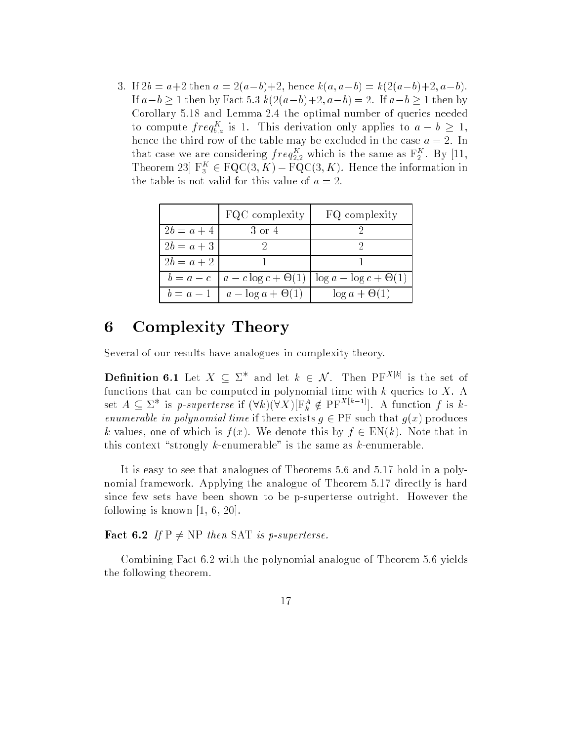3. If  $2b = a+2$  then  $a = 2(a-b)+2$ , hence  $k(a, a-b) = k(2(a-b)+2, a-b)$ . If  $a-b \ge 1$  then by Fact 5.3  $k(2(a-b)+2, a-b) = 2$ . If  $a-b \ge 1$  then by Corollary 5.18 and Lemma 2.4 the optimal number of queries needed to compute  $freq_{b,a}$  is 1. This derivation only applies to  $a - b \geq 1$ , hence the third row of the table may be excluded in the case  $a = 2$ . In that case we are considering  $freq_{2,2}^{-1}$  which is the same as  $\mathbf{r}_2^{-1}$ . By [11, Theorem 25  $\mathbf{r}_3^{\infty} \in \mathbf{FQC}(3,\mathbf{A}) - \mathbf{rQC}(3,\mathbf{A})$ . Hence the information in the table is not valid for this value of  $a = 2$ .

|              | FQC complexity                               | FQ complexity                                                              |
|--------------|----------------------------------------------|----------------------------------------------------------------------------|
| $2b = a + 4$ | -3 or 4                                      |                                                                            |
| $2b = a + 3$ |                                              |                                                                            |
| $2b = a + 2$ |                                              |                                                                            |
|              |                                              | $b = a - c \mid a - c \log c + \Theta(1) \mid \log a - \log c + \Theta(1)$ |
|              | $b = a - 1 \mid a - \log a + \Theta(1) \mid$ | $\log a + \Theta(1)$                                                       |

# 6 Complexity Theory

Several of our results have analogues in complexity theory.

**Definition 6.1** Let  $X \subseteq \Sigma^*$  and let  $k \in \mathcal{N}$ . Then  $PF^{X[k]}$  is the set of functions that can be computed in polynomial time with  $k$  queries to  $X$ . A set  $A \subseteq \Sigma^*$  is p-superterse if  $(\forall k)(\forall X)[\Gamma^A_k \notin \mathrm{PF}^{X[k-1]}]$ . A function f is kenumerable in polynomial time if there exists  $g \in PF$  such that  $g(x)$  produces k values, one of which is  $f(x)$ . We denote this by  $f \in EN(k)$ . Note that in this context "strongly k-enumerable" is the same as k-enumerable.

It is easy to see that analogues of Theorems 5.6 and 5.17 hold in a polynomial framework. Applying the analogue of Theorem 5.17 directly is hard since few sets have been shown to be p-superterse outright. However the following is known [1, 6, 20].

**Fact 6.2** If  $P \neq NP$  then SAT is p-superterse.

Combining Fact 6.2 with the polynomial analogue of Theorem 5.6 yields the following theorem.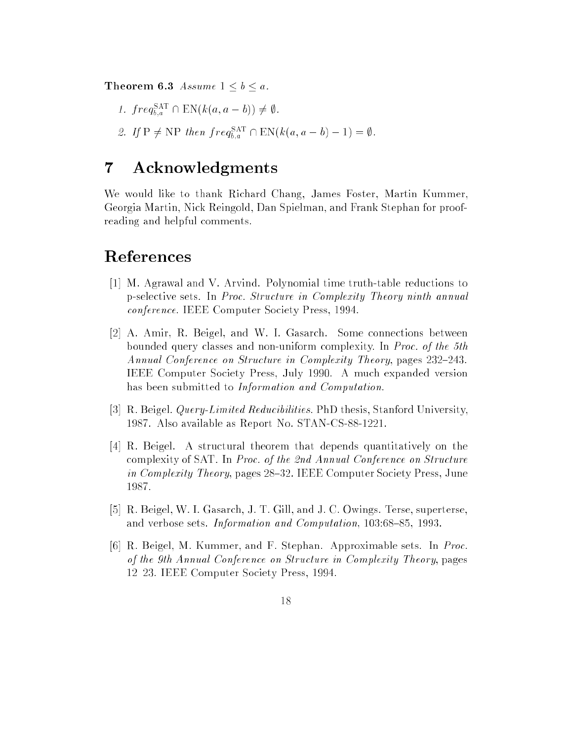**Theorem 6.3** Assume  $1 \leq b \leq a$ .

- 1.  $freq_{b,a}^{\text{SAT}} \cap \text{EN}(k(a, a b)) \neq \emptyset$ .
- 2. If  $P \neq NP$  then  $freq_{b,a}^{SAT} \cap EN(k(a, a b) 1) = \emptyset$ .

# 7 Acknowledgments

We would like to thank Richard Chang, James Foster, Martin Kummer, Georgia Martin, Nick Reingold, Dan Spielman, and Frank Stephan for proofreading and helpful comments.

# References

- [1] M. Agrawal and V. Arvind. Polynomial time truth-table reductions to p-selective sets. In Proc. Structure in Complexity Theory ninth annual conference. IEEE Computer Society Press, 1994.
- [2] A. Amir, R. Beigel, and W. I. Gasarch. Some connections between bounded query classes and non-uniform complexity. In Proc. of the 5th Annual Conference on Structure in Complexity Theory, pages 232-243. IEEE Computer Society Press, July 1990. A much expanded version has been submitted to Information and Computation.
- [3] R. Beigel. *Query-Limited Reducibilities*. PhD thesis, Stanford University, 1987. Also available as Report No. STAN-CS-88-1221.
- [4] R. Beigel. A structural theorem that depends quantitatively on the complexity of SAT. In Proc. of the 2nd Annual Conference on Structure in Complexity Theory, pages 28-32. IEEE Computer Society Press, June 1987.
- [5] R. Beigel, W. I. Gasarch, J. T. Gill, and J. C. Owings. Terse, superterse, and verbose sets. Information and Computation, 103:68-85, 1993.
- [6] R. Beigel, M. Kummer, and F. Stephan. Approximable sets. In Proc. of the 9th Annual Conference on Structure in Complexity Theory, pages 12{23. IEEE Computer Society Press, 1994.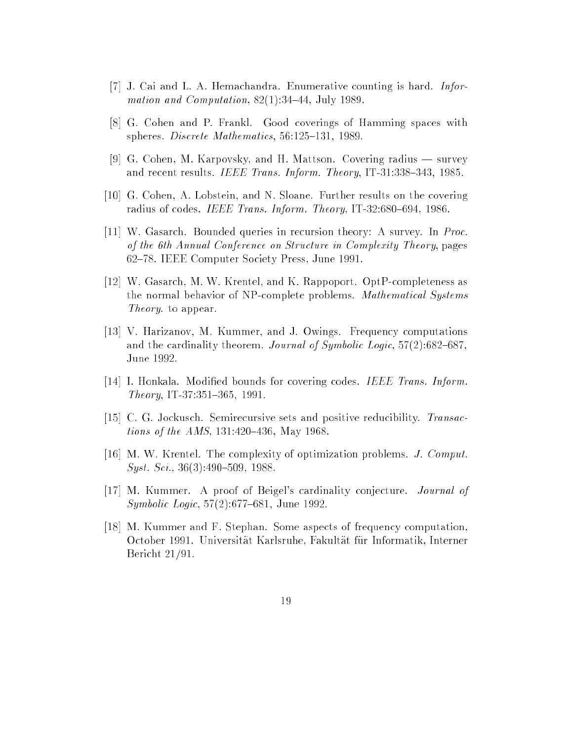- [7] J. Cai and L. A. Hemachandra. Enumerative counting is hard. Information and Computation,  $82(1):34-44$ , July 1989.
- [8] G. Cohen and P. Frankl. Good coverings of Hamming spaces with spheres. Discrete Mathematics,  $56:125-131$ , 1989.
- [9] G. Cohen, M. Karpovsky, and H. Mattson. Covering radius  $-$  survey and recent results. IEEE Trans. Inform. Theory, IT-31:338-343, 1985.
- [10] G. Cohen, A. Lobstein, and N. Sloane. Further results on the covering radius of codes. IEEE Trans. Inform. Theory, IT-32:680-694, 1986.
- [11] W. Gasarch. Bounded queries in recursion theory: A survey. In Proc. of the 6th Annual Conference on Structure in Complexity Theory, pages 62{78. IEEE Computer Society Press, June 1991.
- [12] W. Gasarch, M. W. Krentel, and K. Rappoport. OptP-completeness as the normal behavior of NP-complete problems. Mathematical Systems Theory. to appear.
- [13] V. Harizanov, M. Kummer, and J. Owings. Frequency computations and the cardinality theorem. Journal of Symbolic Logic,  $57(2):682{-}687$ , June 1992.
- [14] I. Honkala. Modied bounds for covering codes. IEEE Trans. Inform.  $Theory, IT-37:351-365, 1991.$
- [15] C. G. Jockusch. Semirecursive sets and positive reducibility. Transac*tions of the AMS*,  $131:420{-}436$ , May 1968.
- [16] M. W. Krentel. The complexity of optimization problems. J. Comput.  $Syst. Sci., 36(3):490–509, 1988.$
- [17] M. Kummer. A proof of Beigel's cardinality conjecture. Journal of Symbolic Logic,  $57(2):677{-}681$ , June 1992.
- [18] M. Kummer and F. Stephan. Some aspects of frequency computation, October 1991. Universitat Karlsruhe, Fakultat fur Informatik, Interner Bericht 21/91.